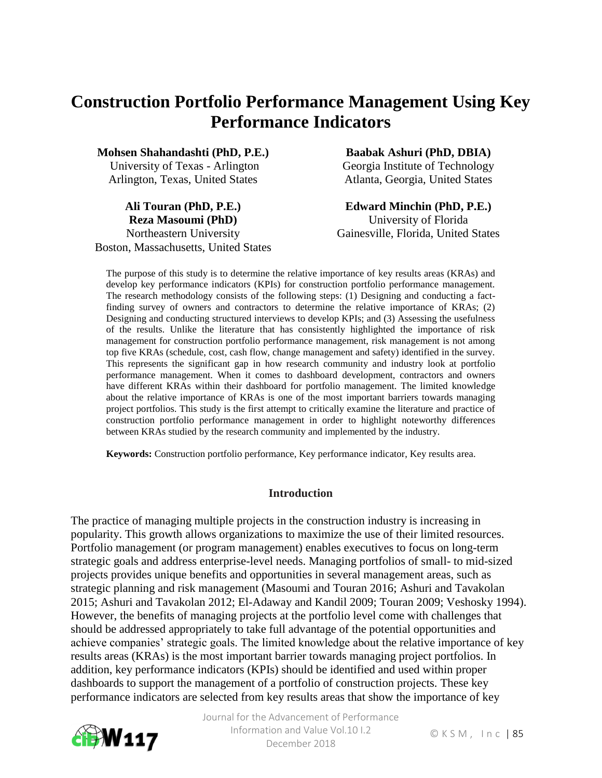# **Construction Portfolio Performance Management Using Key Performance Indicators**

**Mohsen Shahandashti (PhD, P.E.)**

University of Texas - Arlington Arlington, Texas, United States

**Ali Touran (PhD, P.E.) Reza Masoumi (PhD)** Northeastern University Boston, Massachusetts, United States **Baabak Ashuri (PhD, DBIA)** 

Georgia Institute of Technology Atlanta, Georgia, United States

**Edward Minchin (PhD, P.E.)** University of Florida Gainesville, Florida, United States

The purpose of this study is to determine the relative importance of key results areas (KRAs) and develop key performance indicators (KPIs) for construction portfolio performance management. The research methodology consists of the following steps: (1) Designing and conducting a factfinding survey of owners and contractors to determine the relative importance of KRAs; (2) Designing and conducting structured interviews to develop KPIs; and (3) Assessing the usefulness of the results. Unlike the literature that has consistently highlighted the importance of risk management for construction portfolio performance management, risk management is not among top five KRAs (schedule, cost, cash flow, change management and safety) identified in the survey. This represents the significant gap in how research community and industry look at portfolio performance management. When it comes to dashboard development, contractors and owners have different KRAs within their dashboard for portfolio management. The limited knowledge about the relative importance of KRAs is one of the most important barriers towards managing project portfolios. This study is the first attempt to critically examine the literature and practice of construction portfolio performance management in order to highlight noteworthy differences between KRAs studied by the research community and implemented by the industry.

**Keywords:** Construction portfolio performance, Key performance indicator, Key results area.

#### **Introduction**

The practice of managing multiple projects in the construction industry is increasing in popularity. This growth allows organizations to maximize the use of their limited resources. Portfolio management (or program management) enables executives to focus on long-term strategic goals and address enterprise-level needs. Managing portfolios of small- to mid-sized projects provides unique benefits and opportunities in several management areas, such as strategic planning and risk management (Masoumi and Touran 2016; Ashuri and Tavakolan 2015; Ashuri and Tavakolan 2012; El-Adaway and Kandil 2009; Touran 2009; Veshosky 1994). However, the benefits of managing projects at the portfolio level come with challenges that should be addressed appropriately to take full advantage of the potential opportunities and achieve companies' strategic goals. The limited knowledge about the relative importance of key results areas (KRAs) is the most important barrier towards managing project portfolios. In addition, key performance indicators (KPIs) should be identified and used within proper dashboards to support the management of a portfolio of construction projects. These key performance indicators are selected from key results areas that show the importance of key

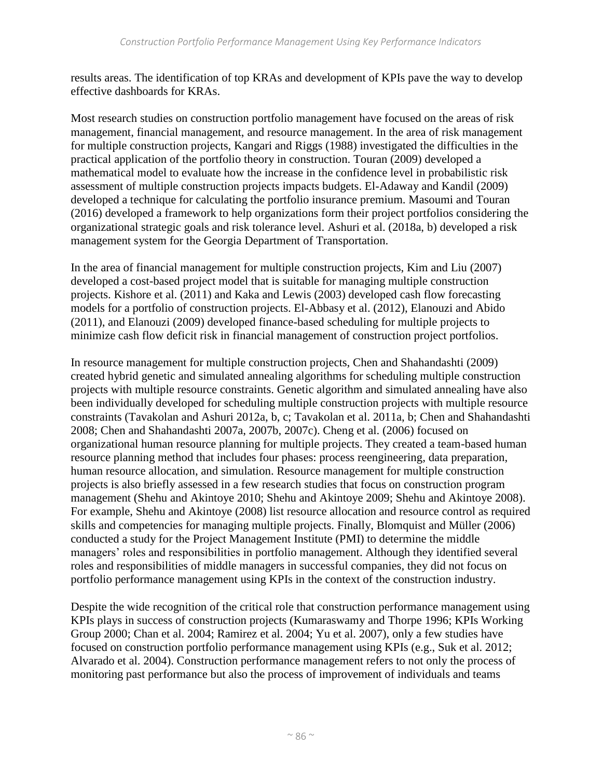results areas. The identification of top KRAs and development of KPIs pave the way to develop effective dashboards for KRAs.

Most research studies on construction portfolio management have focused on the areas of risk management, financial management, and resource management. In the area of risk management for multiple construction projects, Kangari and Riggs (1988) investigated the difficulties in the practical application of the portfolio theory in construction. Touran (2009) developed a mathematical model to evaluate how the increase in the confidence level in probabilistic risk assessment of multiple construction projects impacts budgets. El-Adaway and Kandil (2009) developed a technique for calculating the portfolio insurance premium. Masoumi and Touran (2016) developed a framework to help organizations form their project portfolios considering the organizational strategic goals and risk tolerance level. Ashuri et al. (2018a, b) developed a risk management system for the Georgia Department of Transportation.

In the area of financial management for multiple construction projects, Kim and Liu (2007) developed a cost-based project model that is suitable for managing multiple construction projects. Kishore et al. (2011) and Kaka and Lewis (2003) developed cash flow forecasting models for a portfolio of construction projects. El-Abbasy et al. (2012), Elanouzi and Abido (2011), and Elanouzi (2009) developed finance-based scheduling for multiple projects to minimize cash flow deficit risk in financial management of construction project portfolios.

In resource management for multiple construction projects, Chen and Shahandashti (2009) created hybrid genetic and simulated annealing algorithms for scheduling multiple construction projects with multiple resource constraints. Genetic algorithm and simulated annealing have also been individually developed for scheduling multiple construction projects with multiple resource constraints (Tavakolan and Ashuri 2012a, b, c; Tavakolan et al. 2011a, b; Chen and Shahandashti 2008; Chen and Shahandashti 2007a, 2007b, 2007c). Cheng et al. (2006) focused on organizational human resource planning for multiple projects. They created a team-based human resource planning method that includes four phases: process reengineering, data preparation, human resource allocation, and simulation. Resource management for multiple construction projects is also briefly assessed in a few research studies that focus on construction program management (Shehu and Akintoye 2010; Shehu and Akintoye 2009; Shehu and Akintoye 2008). For example, Shehu and Akintoye (2008) list resource allocation and resource control as required skills and competencies for managing multiple projects. Finally, Blomquist and Müller (2006) conducted a study for the Project Management Institute (PMI) to determine the middle managers' roles and responsibilities in portfolio management. Although they identified several roles and responsibilities of middle managers in successful companies, they did not focus on portfolio performance management using KPIs in the context of the construction industry.

Despite the wide recognition of the critical role that construction performance management using KPIs plays in success of construction projects (Kumaraswamy and Thorpe 1996; KPIs Working Group 2000; Chan et al. 2004; Ramirez et al. 2004; Yu et al. 2007), only a few studies have focused on construction portfolio performance management using KPIs (e.g., Suk et al. 2012; Alvarado et al. 2004). Construction performance management refers to not only the process of monitoring past performance but also the process of improvement of individuals and teams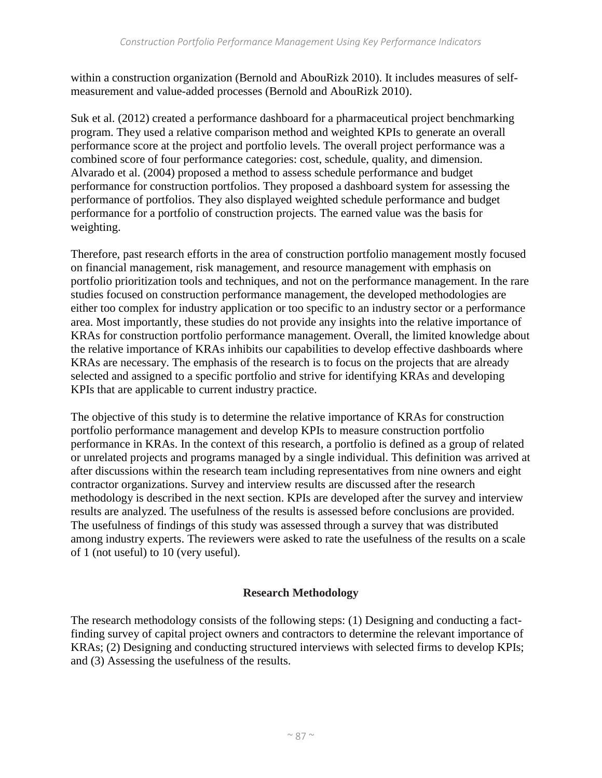within a construction organization (Bernold and AbouRizk 2010). It includes measures of selfmeasurement and value-added processes (Bernold and AbouRizk 2010).

Suk et al. (2012) created a performance dashboard for a pharmaceutical project benchmarking program. They used a relative comparison method and weighted KPIs to generate an overall performance score at the project and portfolio levels. The overall project performance was a combined score of four performance categories: cost, schedule, quality, and dimension. Alvarado et al. (2004) proposed a method to assess schedule performance and budget performance for construction portfolios. They proposed a dashboard system for assessing the performance of portfolios. They also displayed weighted schedule performance and budget performance for a portfolio of construction projects. The earned value was the basis for weighting.

Therefore, past research efforts in the area of construction portfolio management mostly focused on financial management, risk management, and resource management with emphasis on portfolio prioritization tools and techniques, and not on the performance management. In the rare studies focused on construction performance management, the developed methodologies are either too complex for industry application or too specific to an industry sector or a performance area. Most importantly, these studies do not provide any insights into the relative importance of KRAs for construction portfolio performance management. Overall, the limited knowledge about the relative importance of KRAs inhibits our capabilities to develop effective dashboards where KRAs are necessary. The emphasis of the research is to focus on the projects that are already selected and assigned to a specific portfolio and strive for identifying KRAs and developing KPIs that are applicable to current industry practice.

The objective of this study is to determine the relative importance of KRAs for construction portfolio performance management and develop KPIs to measure construction portfolio performance in KRAs. In the context of this research, a portfolio is defined as a group of related or unrelated projects and programs managed by a single individual. This definition was arrived at after discussions within the research team including representatives from nine owners and eight contractor organizations. Survey and interview results are discussed after the research methodology is described in the next section. KPIs are developed after the survey and interview results are analyzed. The usefulness of the results is assessed before conclusions are provided. The usefulness of findings of this study was assessed through a survey that was distributed among industry experts. The reviewers were asked to rate the usefulness of the results on a scale of 1 (not useful) to 10 (very useful).

### **Research Methodology**

The research methodology consists of the following steps: (1) Designing and conducting a factfinding survey of capital project owners and contractors to determine the relevant importance of KRAs; (2) Designing and conducting structured interviews with selected firms to develop KPIs; and (3) Assessing the usefulness of the results.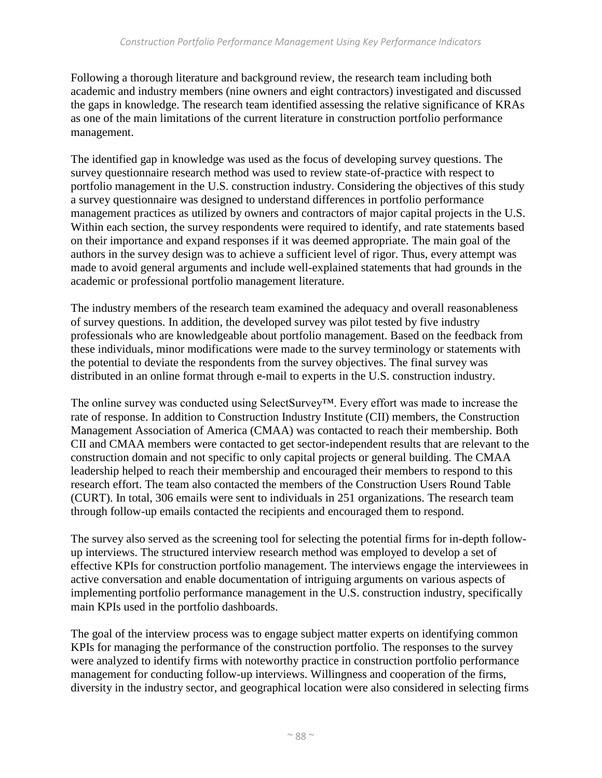Following a thorough literature and background review, the research team including both academic and industry members (nine owners and eight contractors) investigated and discussed the gaps in knowledge. The research team identified assessing the relative significance of KRAs as one of the main limitations of the current literature in construction portfolio performance management.

The identified gap in knowledge was used as the focus of developing survey questions. The survey questionnaire research method was used to review state-of-practice with respect to portfolio management in the U.S. construction industry. Considering the objectives of this study a survey questionnaire was designed to understand differences in portfolio performance management practices as utilized by owners and contractors of major capital projects in the U.S. Within each section, the survey respondents were required to identify, and rate statements based on their importance and expand responses if it was deemed appropriate. The main goal of the authors in the survey design was to achieve a sufficient level of rigor. Thus, every attempt was made to avoid general arguments and include well-explained statements that had grounds in the academic or professional portfolio management literature.

The industry members of the research team examined the adequacy and overall reasonableness of survey questions. In addition, the developed survey was pilot tested by five industry professionals who are knowledgeable about portfolio management. Based on the feedback from these individuals, minor modifications were made to the survey terminology or statements with the potential to deviate the respondents from the survey objectives. The final survey was distributed in an online format through e-mail to experts in the U.S. construction industry.

The online survey was conducted using SelectSurvey™. Every effort was made to increase the rate of response. In addition to Construction Industry Institute (CII) members, the Construction Management Association of America (CMAA) was contacted to reach their membership. Both CII and CMAA members were contacted to get sector-independent results that are relevant to the construction domain and not specific to only capital projects or general building. The CMAA leadership helped to reach their membership and encouraged their members to respond to this research effort. The team also contacted the members of the Construction Users Round Table (CURT). In total, 306 emails were sent to individuals in 251 organizations. The research team through follow-up emails contacted the recipients and encouraged them to respond.

The survey also served as the screening tool for selecting the potential firms for in-depth followup interviews. The structured interview research method was employed to develop a set of effective KPIs for construction portfolio management. The interviews engage the interviewees in active conversation and enable documentation of intriguing arguments on various aspects of implementing portfolio performance management in the U.S. construction industry, specifically main KPIs used in the portfolio dashboards.

The goal of the interview process was to engage subject matter experts on identifying common KPIs for managing the performance of the construction portfolio. The responses to the survey were analyzed to identify firms with noteworthy practice in construction portfolio performance management for conducting follow-up interviews. Willingness and cooperation of the firms, diversity in the industry sector, and geographical location were also considered in selecting firms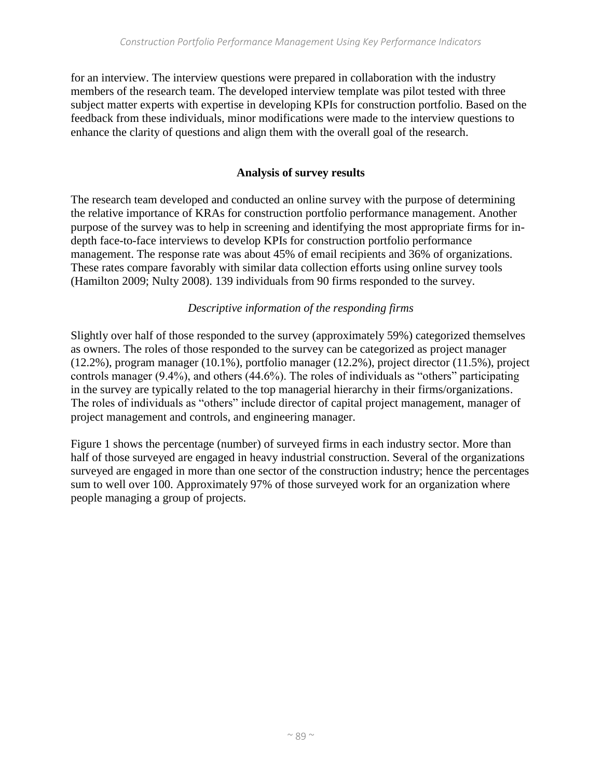for an interview. The interview questions were prepared in collaboration with the industry members of the research team. The developed interview template was pilot tested with three subject matter experts with expertise in developing KPIs for construction portfolio. Based on the feedback from these individuals, minor modifications were made to the interview questions to enhance the clarity of questions and align them with the overall goal of the research.

### **Analysis of survey results**

The research team developed and conducted an online survey with the purpose of determining the relative importance of KRAs for construction portfolio performance management. Another purpose of the survey was to help in screening and identifying the most appropriate firms for indepth face-to-face interviews to develop KPIs for construction portfolio performance management. The response rate was about 45% of email recipients and 36% of organizations. These rates compare favorably with similar data collection efforts using online survey tools (Hamilton 2009; Nulty 2008). 139 individuals from 90 firms responded to the survey.

### *Descriptive information of the responding firms*

Slightly over half of those responded to the survey (approximately 59%) categorized themselves as owners. The roles of those responded to the survey can be categorized as project manager (12.2%), program manager (10.1%), portfolio manager (12.2%), project director (11.5%), project controls manager (9.4%), and others (44.6%). The roles of individuals as "others" participating in the survey are typically related to the top managerial hierarchy in their firms/organizations. The roles of individuals as "others" include director of capital project management, manager of project management and controls, and engineering manager.

Figure 1 shows the percentage (number) of surveyed firms in each industry sector. More than half of those surveyed are engaged in heavy industrial construction. Several of the organizations surveyed are engaged in more than one sector of the construction industry; hence the percentages sum to well over 100. Approximately 97% of those surveyed work for an organization where people managing a group of projects.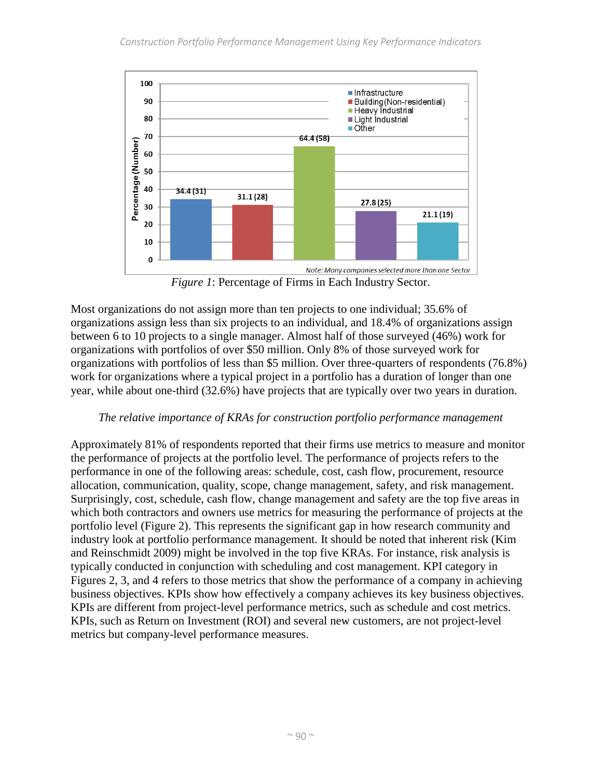

*Figure 1*: Percentage of Firms in Each Industry Sector.

Most organizations do not assign more than ten projects to one individual; 35.6% of organizations assign less than six projects to an individual, and 18.4% of organizations assign between 6 to 10 projects to a single manager. Almost half of those surveyed (46%) work for organizations with portfolios of over \$50 million. Only 8% of those surveyed work for organizations with portfolios of less than \$5 million. Over three-quarters of respondents (76.8%) work for organizations where a typical project in a portfolio has a duration of longer than one year, while about one-third (32.6%) have projects that are typically over two years in duration.

### *The relative importance of KRAs for construction portfolio performance management*

Approximately 81% of respondents reported that their firms use metrics to measure and monitor the performance of projects at the portfolio level. The performance of projects refers to the performance in one of the following areas: schedule, cost, cash flow, procurement, resource allocation, communication, quality, scope, change management, safety, and risk management. Surprisingly, cost, schedule, cash flow, change management and safety are the top five areas in which both contractors and owners use metrics for measuring the performance of projects at the portfolio level (Figure 2). This represents the significant gap in how research community and industry look at portfolio performance management. It should be noted that inherent risk (Kim and Reinschmidt 2009) might be involved in the top five KRAs. For instance, risk analysis is typically conducted in conjunction with scheduling and cost management. KPI category in Figures 2, 3, and 4 refers to those metrics that show the performance of a company in achieving business objectives. KPIs show how effectively a company achieves its key business objectives. KPIs are different from project-level performance metrics, such as schedule and cost metrics. KPIs, such as Return on Investment (ROI) and several new customers, are not project-level metrics but company-level performance measures.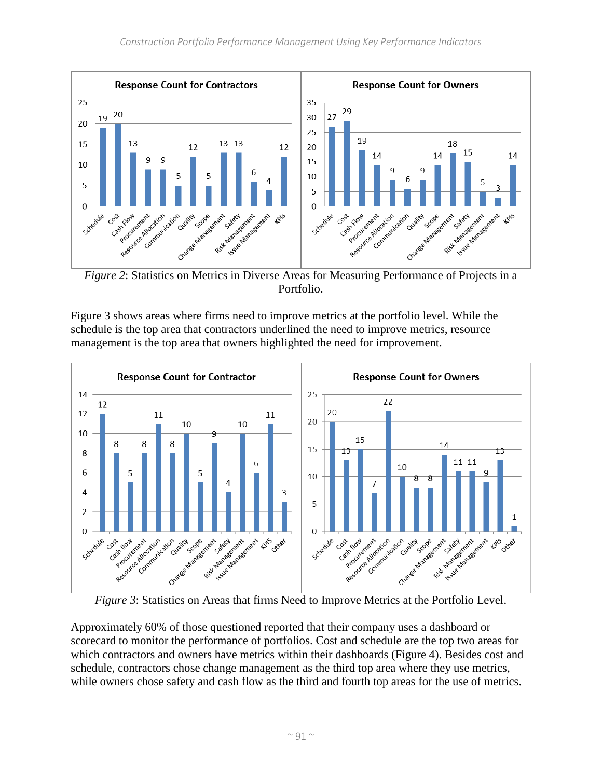

*Figure 2*: Statistics on Metrics in Diverse Areas for Measuring Performance of Projects in a Portfolio.

Figure 3 shows areas where firms need to improve metrics at the portfolio level. While the schedule is the top area that contractors underlined the need to improve metrics, resource management is the top area that owners highlighted the need for improvement.



*Figure 3*: Statistics on Areas that firms Need to Improve Metrics at the Portfolio Level.

Approximately 60% of those questioned reported that their company uses a dashboard or scorecard to monitor the performance of portfolios. Cost and schedule are the top two areas for which contractors and owners have metrics within their dashboards (Figure 4). Besides cost and schedule, contractors chose change management as the third top area where they use metrics, while owners chose safety and cash flow as the third and fourth top areas for the use of metrics.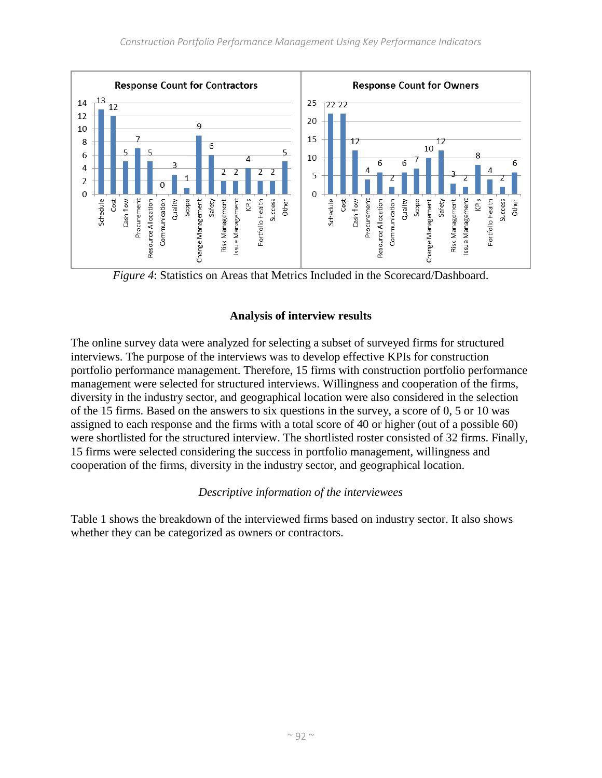

*Figure 4*: Statistics on Areas that Metrics Included in the Scorecard/Dashboard.

# **Analysis of interview results**

The online survey data were analyzed for selecting a subset of surveyed firms for structured interviews. The purpose of the interviews was to develop effective KPIs for construction portfolio performance management. Therefore, 15 firms with construction portfolio performance management were selected for structured interviews. Willingness and cooperation of the firms, diversity in the industry sector, and geographical location were also considered in the selection of the 15 firms. Based on the answers to six questions in the survey, a score of 0, 5 or 10 was assigned to each response and the firms with a total score of 40 or higher (out of a possible 60) were shortlisted for the structured interview. The shortlisted roster consisted of 32 firms. Finally, 15 firms were selected considering the success in portfolio management, willingness and cooperation of the firms, diversity in the industry sector, and geographical location.

### *Descriptive information of the interviewees*

Table 1 shows the breakdown of the interviewed firms based on industry sector. It also shows whether they can be categorized as owners or contractors.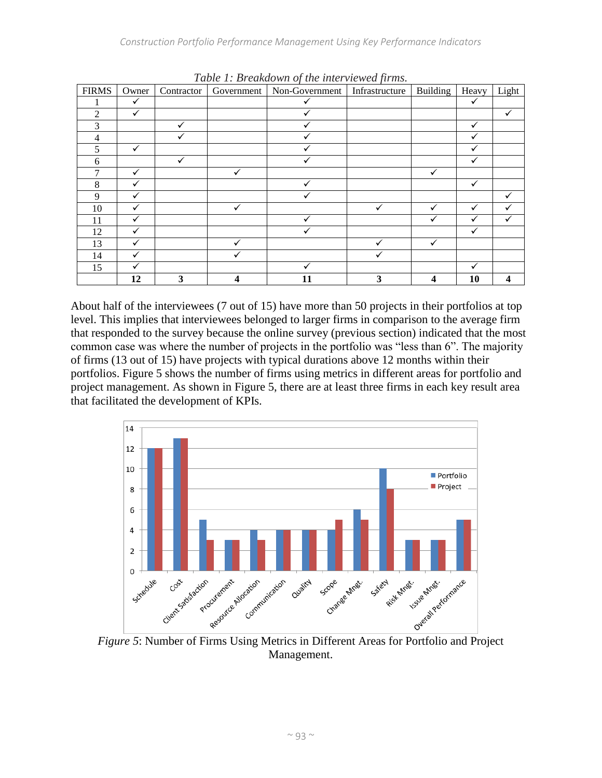| <b>FIRMS</b> | Owner        | Contractor | Government | Non-Government | Infrastructure | Building         | Heavy        | Light          |
|--------------|--------------|------------|------------|----------------|----------------|------------------|--------------|----------------|
|              | $\checkmark$ |            |            | ✓              |                |                  | $\checkmark$ |                |
| 2            | ✓            |            |            | ✓              |                |                  |              | $\checkmark$   |
| 3            |              |            |            | $\checkmark$   |                |                  | ✓            |                |
| 4            |              |            |            |                |                |                  |              |                |
| 5            | ✓            |            |            |                |                |                  |              |                |
| 6            |              | ✓          |            | ✓              |                |                  | ✓            |                |
| 7            | ✓            |            | ✓          |                |                | ✓                |              |                |
| 8            | ✓            |            |            | $\checkmark$   |                |                  | ✓            |                |
| 9            | ✓            |            |            |                |                |                  |              | ✓              |
| 10           |              |            |            |                |                |                  | ✓            | ✓              |
| 11           | ✓            |            |            | ✓              |                | v                | ✓            | ✓              |
| 12           | ✓            |            |            | ✓              |                |                  | ✓            |                |
| 13           | ✓            |            | ✓          |                | $\checkmark$   | ✓                |              |                |
| 14           | ✓            |            |            |                |                |                  |              |                |
| 15           |              |            |            |                |                |                  |              |                |
|              | 12           | 3          |            | 11             | 3              | $\boldsymbol{4}$ | 10           | $\overline{4}$ |

*Table 1: Breakdown of the interviewed firms.*

About half of the interviewees (7 out of 15) have more than 50 projects in their portfolios at top level. This implies that interviewees belonged to larger firms in comparison to the average firm that responded to the survey because the online survey (previous section) indicated that the most common case was where the number of projects in the portfolio was "less than 6". The majority of firms (13 out of 15) have projects with typical durations above 12 months within their portfolios. Figure 5 shows the number of firms using metrics in different areas for portfolio and project management. As shown in Figure 5, there are at least three firms in each key result area that facilitated the development of KPIs.



Management.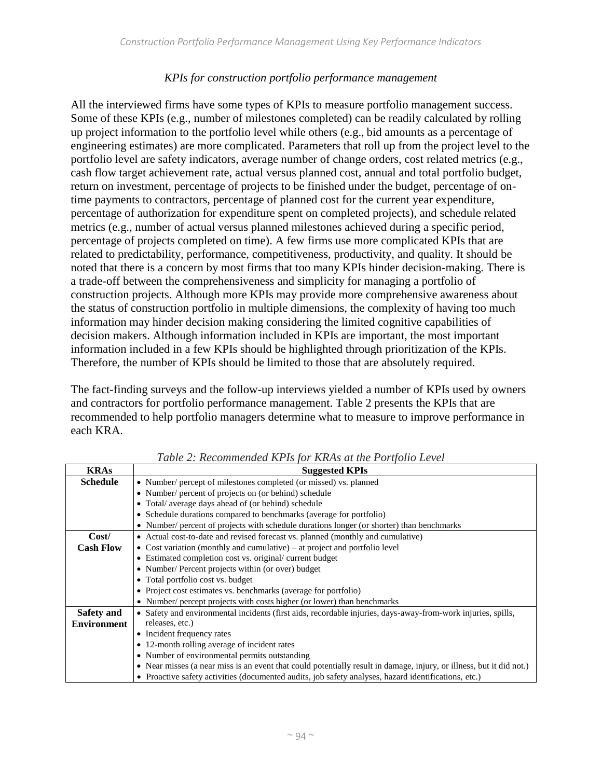### *KPIs for construction portfolio performance management*

All the interviewed firms have some types of KPIs to measure portfolio management success. Some of these KPIs (e.g., number of milestones completed) can be readily calculated by rolling up project information to the portfolio level while others (e.g., bid amounts as a percentage of engineering estimates) are more complicated. Parameters that roll up from the project level to the portfolio level are safety indicators, average number of change orders, cost related metrics (e.g., cash flow target achievement rate, actual versus planned cost, annual and total portfolio budget, return on investment, percentage of projects to be finished under the budget, percentage of ontime payments to contractors, percentage of planned cost for the current year expenditure, percentage of authorization for expenditure spent on completed projects), and schedule related metrics (e.g., number of actual versus planned milestones achieved during a specific period, percentage of projects completed on time). A few firms use more complicated KPIs that are related to predictability, performance, competitiveness, productivity, and quality. It should be noted that there is a concern by most firms that too many KPIs hinder decision-making. There is a trade-off between the comprehensiveness and simplicity for managing a portfolio of construction projects. Although more KPIs may provide more comprehensive awareness about the status of construction portfolio in multiple dimensions, the complexity of having too much information may hinder decision making considering the limited cognitive capabilities of decision makers. Although information included in KPIs are important, the most important information included in a few KPIs should be highlighted through prioritization of the KPIs. Therefore, the number of KPIs should be limited to those that are absolutely required.

The fact-finding surveys and the follow-up interviews yielded a number of KPIs used by owners and contractors for portfolio performance management. Table 2 presents the KPIs that are recommended to help portfolio managers determine what to measure to improve performance in each KRA.

| <b>KRAs</b>        | <b>Suggested KPIs</b>                                                                                                |  |  |  |  |  |  |  |  |  |
|--------------------|----------------------------------------------------------------------------------------------------------------------|--|--|--|--|--|--|--|--|--|
| <b>Schedule</b>    | • Number/ percept of milestones completed (or missed) vs. planned                                                    |  |  |  |  |  |  |  |  |  |
|                    | • Number/ percent of projects on (or behind) schedule                                                                |  |  |  |  |  |  |  |  |  |
|                    | • Total/ average days ahead of (or behind) schedule                                                                  |  |  |  |  |  |  |  |  |  |
|                    | • Schedule durations compared to benchmarks (average for portfolio)                                                  |  |  |  |  |  |  |  |  |  |
|                    | • Number/ percent of projects with schedule durations longer (or shorter) than benchmarks                            |  |  |  |  |  |  |  |  |  |
| Cost/              | • Actual cost-to-date and revised forecast vs. planned (monthly and cumulative)                                      |  |  |  |  |  |  |  |  |  |
| <b>Cash Flow</b>   | • Cost variation (monthly and cumulative) – at project and portfolio level                                           |  |  |  |  |  |  |  |  |  |
|                    | • Estimated completion cost vs. original/ current budget                                                             |  |  |  |  |  |  |  |  |  |
|                    | • Number/ Percent projects within (or over) budget                                                                   |  |  |  |  |  |  |  |  |  |
|                    | • Total portfolio cost vs. budget                                                                                    |  |  |  |  |  |  |  |  |  |
|                    | • Project cost estimates vs. benchmarks (average for portfolio)                                                      |  |  |  |  |  |  |  |  |  |
|                    | • Number/ percept projects with costs higher (or lower) than benchmarks                                              |  |  |  |  |  |  |  |  |  |
| Safety and         | • Safety and environmental incidents (first aids, recordable injuries, days-away-from-work injuries, spills,         |  |  |  |  |  |  |  |  |  |
| <b>Environment</b> | releases, etc.)                                                                                                      |  |  |  |  |  |  |  |  |  |
|                    | • Incident frequency rates                                                                                           |  |  |  |  |  |  |  |  |  |
|                    | • 12-month rolling average of incident rates                                                                         |  |  |  |  |  |  |  |  |  |
|                    | • Number of environmental permits outstanding                                                                        |  |  |  |  |  |  |  |  |  |
|                    | • Near misses (a near miss is an event that could potentially result in damage, injury, or illness, but it did not.) |  |  |  |  |  |  |  |  |  |
|                    | • Proactive safety activities (documented audits, job safety analyses, hazard identifications, etc.)                 |  |  |  |  |  |  |  |  |  |

*Table 2: Recommended KPIs for KRAs at the Portfolio Level*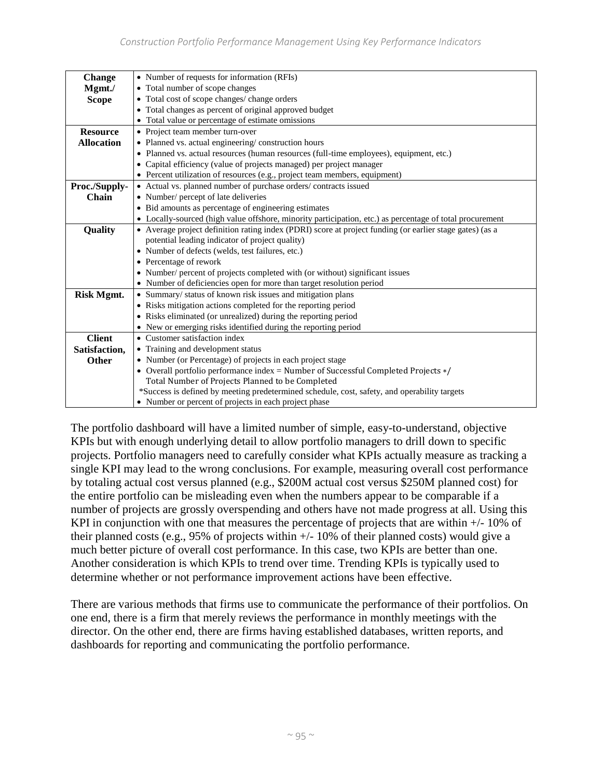| Change            | • Number of requests for information (RFIs)                                                              |  |  |  |  |  |  |  |  |
|-------------------|----------------------------------------------------------------------------------------------------------|--|--|--|--|--|--|--|--|
| Mgmt./            | • Total number of scope changes                                                                          |  |  |  |  |  |  |  |  |
| <b>Scope</b>      | • Total cost of scope changes/ change orders                                                             |  |  |  |  |  |  |  |  |
|                   | • Total changes as percent of original approved budget                                                   |  |  |  |  |  |  |  |  |
|                   | • Total value or percentage of estimate omissions                                                        |  |  |  |  |  |  |  |  |
| <b>Resource</b>   | • Project team member turn-over                                                                          |  |  |  |  |  |  |  |  |
| <b>Allocation</b> | • Planned vs. actual engineering/construction hours                                                      |  |  |  |  |  |  |  |  |
|                   | • Planned vs. actual resources (human resources (full-time employees), equipment, etc.)                  |  |  |  |  |  |  |  |  |
|                   | • Capital efficiency (value of projects managed) per project manager                                     |  |  |  |  |  |  |  |  |
|                   | • Percent utilization of resources (e.g., project team members, equipment)                               |  |  |  |  |  |  |  |  |
| Proc./Supply-     | • Actual vs. planned number of purchase orders/contracts issued                                          |  |  |  |  |  |  |  |  |
| Chain             | • Number/ percept of late deliveries                                                                     |  |  |  |  |  |  |  |  |
|                   | • Bid amounts as percentage of engineering estimates                                                     |  |  |  |  |  |  |  |  |
|                   | • Locally-sourced (high value offshore, minority participation, etc.) as percentage of total procurement |  |  |  |  |  |  |  |  |
| Quality           | • Average project definition rating index (PDRI) score at project funding (or earlier stage gates) (as a |  |  |  |  |  |  |  |  |
|                   | potential leading indicator of project quality)                                                          |  |  |  |  |  |  |  |  |
|                   | • Number of defects (welds, test failures, etc.)                                                         |  |  |  |  |  |  |  |  |
|                   | • Percentage of rework                                                                                   |  |  |  |  |  |  |  |  |
|                   | • Number/ percent of projects completed with (or without) significant issues                             |  |  |  |  |  |  |  |  |
|                   | • Number of deficiencies open for more than target resolution period                                     |  |  |  |  |  |  |  |  |
| <b>Risk Mgmt.</b> | • Summary/ status of known risk issues and mitigation plans                                              |  |  |  |  |  |  |  |  |
|                   | • Risks mitigation actions completed for the reporting period                                            |  |  |  |  |  |  |  |  |
|                   | • Risks eliminated (or unrealized) during the reporting period                                           |  |  |  |  |  |  |  |  |
|                   | • New or emerging risks identified during the reporting period                                           |  |  |  |  |  |  |  |  |
| <b>Client</b>     | • Customer satisfaction index                                                                            |  |  |  |  |  |  |  |  |
| Satisfaction,     | • Training and development status                                                                        |  |  |  |  |  |  |  |  |
| <b>Other</b>      | • Number (or Percentage) of projects in each project stage                                               |  |  |  |  |  |  |  |  |
|                   | • Overall portfolio performance index = Number of Successful Completed Projects $*/$                     |  |  |  |  |  |  |  |  |
|                   | Total Number of Projects Planned to be Completed                                                         |  |  |  |  |  |  |  |  |
|                   | *Success is defined by meeting predetermined schedule, cost, safety, and operability targets             |  |  |  |  |  |  |  |  |
|                   | • Number or percent of projects in each project phase                                                    |  |  |  |  |  |  |  |  |

The portfolio dashboard will have a limited number of simple, easy-to-understand, objective KPIs but with enough underlying detail to allow portfolio managers to drill down to specific projects. Portfolio managers need to carefully consider what KPIs actually measure as tracking a single KPI may lead to the wrong conclusions. For example, measuring overall cost performance by totaling actual cost versus planned (e.g., \$200M actual cost versus \$250M planned cost) for the entire portfolio can be misleading even when the numbers appear to be comparable if a number of projects are grossly overspending and others have not made progress at all. Using this KPI in conjunction with one that measures the percentage of projects that are within  $+/-10\%$  of their planned costs (e.g., 95% of projects within +/- 10% of their planned costs) would give a much better picture of overall cost performance. In this case, two KPIs are better than one. Another consideration is which KPIs to trend over time. Trending KPIs is typically used to determine whether or not performance improvement actions have been effective.

There are various methods that firms use to communicate the performance of their portfolios. On one end, there is a firm that merely reviews the performance in monthly meetings with the director. On the other end, there are firms having established databases, written reports, and dashboards for reporting and communicating the portfolio performance.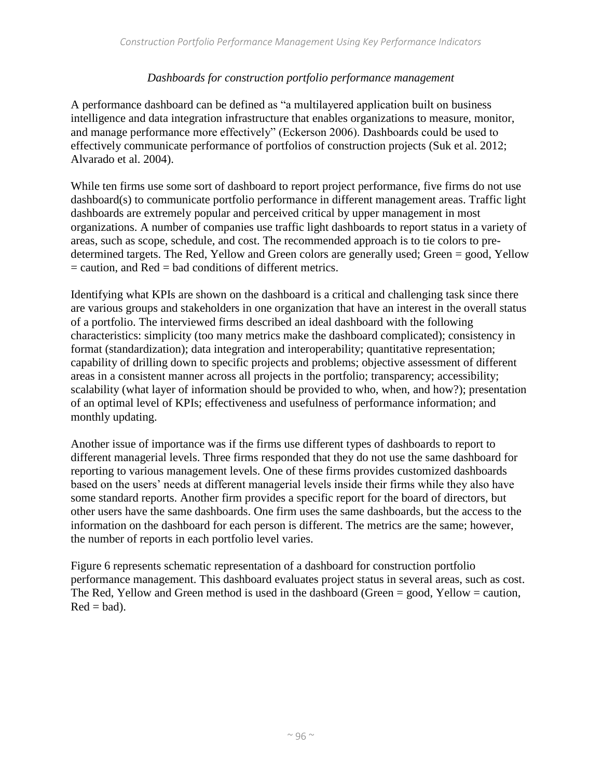#### *Dashboards for construction portfolio performance management*

A performance dashboard can be defined as "a multilayered application built on business intelligence and data integration infrastructure that enables organizations to measure, monitor, and manage performance more effectively" (Eckerson 2006). Dashboards could be used to effectively communicate performance of portfolios of construction projects (Suk et al. 2012; Alvarado et al. 2004).

While ten firms use some sort of dashboard to report project performance, five firms do not use dashboard(s) to communicate portfolio performance in different management areas. Traffic light dashboards are extremely popular and perceived critical by upper management in most organizations. A number of companies use traffic light dashboards to report status in a variety of areas, such as scope, schedule, and cost. The recommended approach is to tie colors to predetermined targets. The Red, Yellow and Green colors are generally used; Green = good, Yellow  $=$  caution, and Red  $=$  bad conditions of different metrics.

Identifying what KPIs are shown on the dashboard is a critical and challenging task since there are various groups and stakeholders in one organization that have an interest in the overall status of a portfolio. The interviewed firms described an ideal dashboard with the following characteristics: simplicity (too many metrics make the dashboard complicated); consistency in format (standardization); data integration and interoperability; quantitative representation; capability of drilling down to specific projects and problems; objective assessment of different areas in a consistent manner across all projects in the portfolio; transparency; accessibility; scalability (what layer of information should be provided to who, when, and how?); presentation of an optimal level of KPIs; effectiveness and usefulness of performance information; and monthly updating.

Another issue of importance was if the firms use different types of dashboards to report to different managerial levels. Three firms responded that they do not use the same dashboard for reporting to various management levels. One of these firms provides customized dashboards based on the users' needs at different managerial levels inside their firms while they also have some standard reports. Another firm provides a specific report for the board of directors, but other users have the same dashboards. One firm uses the same dashboards, but the access to the information on the dashboard for each person is different. The metrics are the same; however, the number of reports in each portfolio level varies.

Figure 6 represents schematic representation of a dashboard for construction portfolio performance management. This dashboard evaluates project status in several areas, such as cost. The Red, Yellow and Green method is used in the dashboard (Green = good, Yellow = caution,  $Red = bad$ ).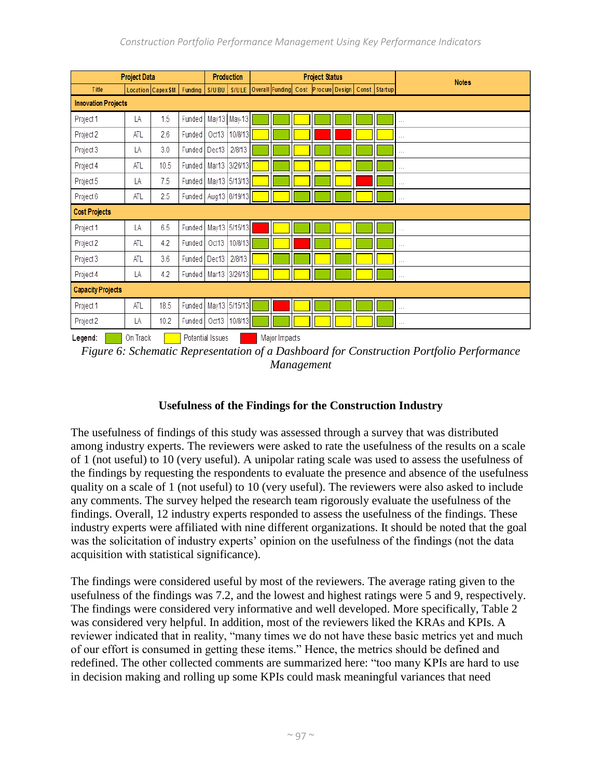| <b>Project Data</b>        |            |                                                   |                          | <b>Production</b> |               | <b>Project Status</b> |                                                   |  |  |  |  |  | <b>Notes</b>  |
|----------------------------|------------|---------------------------------------------------|--------------------------|-------------------|---------------|-----------------------|---------------------------------------------------|--|--|--|--|--|---------------|
| <b>Title</b>               |            | Location   Capex \$ M   Funding   S/U BU   S/U LE |                          |                   |               |                       | Overall Funding Cost Procure Design Const Startup |  |  |  |  |  |               |
| <b>Innovation Projects</b> |            |                                                   |                          |                   |               |                       |                                                   |  |  |  |  |  |               |
| Project 1                  | LA         | 1.5                                               | Funded                   |                   | May13 May-13  |                       |                                                   |  |  |  |  |  | $\cdots$      |
| Project 2                  | <b>ATL</b> | 2.6                                               | Funded                   | Oct13             | 10/8/13       |                       |                                                   |  |  |  |  |  | $\cdots$      |
| Project 3                  | LA         | 3.0                                               | Funded                   | Dec13             | 2/8/13        |                       |                                                   |  |  |  |  |  | $\sim$        |
| Project 4                  | <b>ATL</b> | 10.5                                              | Funded                   |                   | Mar13 3/26/13 |                       |                                                   |  |  |  |  |  | $\sim$ $\sim$ |
| Project 5                  | LA         | 7.5                                               | Funded   May13 5/13/13   |                   |               |                       |                                                   |  |  |  |  |  | $\cdots$      |
| Project 6                  | ATL        | $2.5\,$                                           | Funded                   |                   | Aug13 8/19/13 |                       |                                                   |  |  |  |  |  | $\sim$ $\sim$ |
| <b>Cost Projects</b>       |            |                                                   |                          |                   |               |                       |                                                   |  |  |  |  |  |               |
| Project 1                  | LA         | 6.5                                               | Funded                   |                   | May13 5/15/13 |                       |                                                   |  |  |  |  |  | $\cdots$      |
| Project 2                  | <b>ATL</b> | 4.2                                               | Funded                   | Oct13             | 10/8/13       |                       |                                                   |  |  |  |  |  | $\cdots$      |
| Project 3                  | ATL        | 3.6                                               | Funded                   | Dec13             | 2/8/13        |                       |                                                   |  |  |  |  |  | $\cdots$      |
| Project 4                  | LA         | 4.2                                               | Funded                   | Mar13             | 3/26/13       |                       |                                                   |  |  |  |  |  | $\cdots$      |
| <b>Capacity Projects</b>   |            |                                                   |                          |                   |               |                       |                                                   |  |  |  |  |  |               |
| Project 1                  | <b>ATL</b> | 18.5                                              | Funded   May13   5/15/13 |                   |               |                       |                                                   |  |  |  |  |  | $\sim$ $\sim$ |
| Project 2                  | LA         | 10.2                                              | Funded                   | Oct13             | 10/8/13       |                       |                                                   |  |  |  |  |  | $\sim$ $\sim$ |

Legend: On Track | Potential Issues | Major Impacts

*Figure 6: Schematic Representation of a Dashboard for Construction Portfolio Performance Management*

# **Usefulness of the Findings for the Construction Industry**

The usefulness of findings of this study was assessed through a survey that was distributed among industry experts. The reviewers were asked to rate the usefulness of the results on a scale of 1 (not useful) to 10 (very useful). A unipolar rating scale was used to assess the usefulness of the findings by requesting the respondents to evaluate the presence and absence of the usefulness quality on a scale of 1 (not useful) to 10 (very useful). The reviewers were also asked to include any comments. The survey helped the research team rigorously evaluate the usefulness of the findings. Overall, 12 industry experts responded to assess the usefulness of the findings. These industry experts were affiliated with nine different organizations. It should be noted that the goal was the solicitation of industry experts' opinion on the usefulness of the findings (not the data acquisition with statistical significance).

The findings were considered useful by most of the reviewers. The average rating given to the usefulness of the findings was 7.2, and the lowest and highest ratings were 5 and 9, respectively. The findings were considered very informative and well developed. More specifically, Table 2 was considered very helpful. In addition, most of the reviewers liked the KRAs and KPIs. A reviewer indicated that in reality, "many times we do not have these basic metrics yet and much of our effort is consumed in getting these items." Hence, the metrics should be defined and redefined. The other collected comments are summarized here: "too many KPIs are hard to use in decision making and rolling up some KPIs could mask meaningful variances that need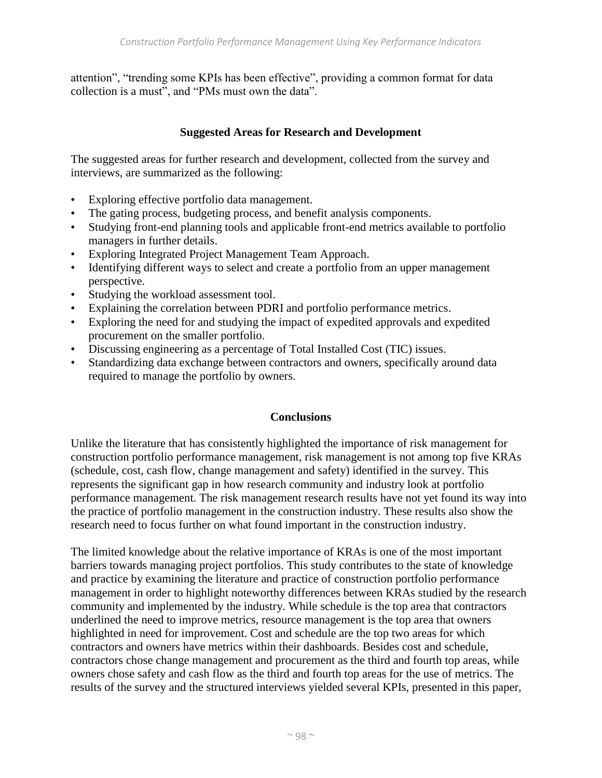attention", "trending some KPIs has been effective", providing a common format for data collection is a must", and "PMs must own the data".

## **Suggested Areas for Research and Development**

The suggested areas for further research and development, collected from the survey and interviews, are summarized as the following:

- Exploring effective portfolio data management.
- The gating process, budgeting process, and benefit analysis components.
- Studying front-end planning tools and applicable front-end metrics available to portfolio managers in further details.
- Exploring Integrated Project Management Team Approach.
- Identifying different ways to select and create a portfolio from an upper management perspective.
- Studying the workload assessment tool.
- Explaining the correlation between PDRI and portfolio performance metrics.
- Exploring the need for and studying the impact of expedited approvals and expedited procurement on the smaller portfolio.
- Discussing engineering as a percentage of Total Installed Cost (TIC) issues.
- Standardizing data exchange between contractors and owners, specifically around data required to manage the portfolio by owners.

### **Conclusions**

Unlike the literature that has consistently highlighted the importance of risk management for construction portfolio performance management, risk management is not among top five KRAs (schedule, cost, cash flow, change management and safety) identified in the survey. This represents the significant gap in how research community and industry look at portfolio performance management. The risk management research results have not yet found its way into the practice of portfolio management in the construction industry. These results also show the research need to focus further on what found important in the construction industry.

The limited knowledge about the relative importance of KRAs is one of the most important barriers towards managing project portfolios. This study contributes to the state of knowledge and practice by examining the literature and practice of construction portfolio performance management in order to highlight noteworthy differences between KRAs studied by the research community and implemented by the industry. While schedule is the top area that contractors underlined the need to improve metrics, resource management is the top area that owners highlighted in need for improvement. Cost and schedule are the top two areas for which contractors and owners have metrics within their dashboards. Besides cost and schedule, contractors chose change management and procurement as the third and fourth top areas, while owners chose safety and cash flow as the third and fourth top areas for the use of metrics. The results of the survey and the structured interviews yielded several KPIs, presented in this paper,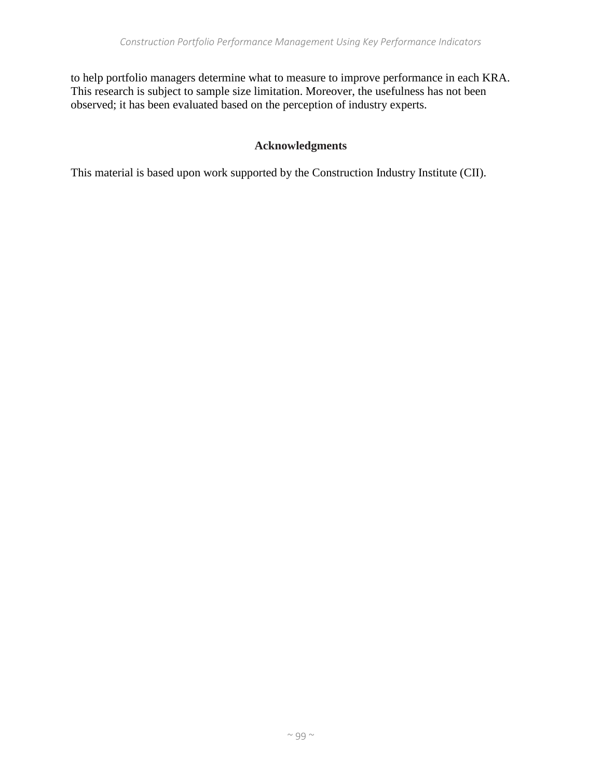to help portfolio managers determine what to measure to improve performance in each KRA. This research is subject to sample size limitation. Moreover, the usefulness has not been observed; it has been evaluated based on the perception of industry experts.

# **Acknowledgments**

This material is based upon work supported by the Construction Industry Institute (CII).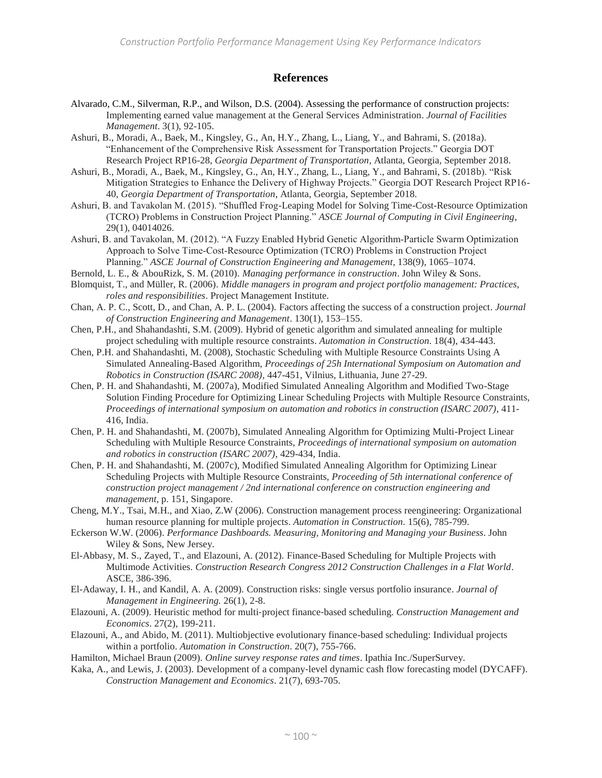#### **References**

- Alvarado, C.M., Silverman, R.P., and Wilson, D.S. (2004). Assessing the performance of construction projects: Implementing earned value management at the General Services Administration. *Journal of Facilities Management*. 3(1), 92-105.
- Ashuri, B., Moradi, A., Baek, M., Kingsley, G., An, H.Y., Zhang, L., Liang, Y., and Bahrami, S. (2018a). "Enhancement of the Comprehensive Risk Assessment for Transportation Projects." Georgia DOT Research Project RP16-28, *Georgia Department of Transportation*, Atlanta, Georgia, September 2018.
- Ashuri, B., Moradi, A., Baek, M., Kingsley, G., An, H.Y., Zhang, L., Liang, Y., and Bahrami, S. (2018b). "Risk Mitigation Strategies to Enhance the Delivery of Highway Projects." Georgia DOT Research Project RP16- 40, *Georgia Department of Transportation*, Atlanta, Georgia, September 2018.
- Ashuri, B. and Tavakolan M. (2015). "Shuffled Frog-Leaping Model for Solving Time-Cost-Resource Optimization (TCRO) Problems in Construction Project Planning." *ASCE Journal of Computing in Civil Engineering*, 29(1), 04014026.
- Ashuri, B. and Tavakolan, M. (2012). "A Fuzzy Enabled Hybrid Genetic Algorithm‐Particle Swarm Optimization Approach to Solve Time‐Cost‐Resource Optimization (TCRO) Problems in Construction Project Planning." *ASCE Journal of Construction Engineering and Management*, 138(9), 1065–1074.
- Bernold, L. E., & AbouRizk, S. M. (2010). *Managing performance in construction*. John Wiley & Sons.
- Blomquist, T., and Müller, R. (2006). *Middle managers in program and project portfolio management: Practices, roles and responsibilities*. Project Management Institute.
- Chan, A. P. C., Scott, D., and Chan, A. P. L. (2004). Factors affecting the success of a construction project. *Journal of Construction Engineering and Management*. 130(1), 153–155.
- Chen, P.H., and Shahandashti, S.M. (2009). Hybrid of genetic algorithm and simulated annealing for multiple project scheduling with multiple resource constraints. *Automation in Construction*. 18(4), 434-443.
- Chen, P.H. and Shahandashti, M. (2008), Stochastic Scheduling with Multiple Resource Constraints Using A Simulated Annealing-Based Algorithm, *Proceedings of 25h International Symposium on Automation and Robotics in Construction (ISARC 2008)*, 447-451, Vilnius, Lithuania, June 27-29.
- Chen, P. H. and Shahandashti, M. (2007a), Modified Simulated Annealing Algorithm and Modified Two-Stage Solution Finding Procedure for Optimizing Linear Scheduling Projects with Multiple Resource Constraints, *Proceedings of international symposium on automation and robotics in construction (ISARC 2007)*, 411- 416, India.
- Chen, P. H. and Shahandashti, M. (2007b), Simulated Annealing Algorithm for Optimizing Multi-Project Linear Scheduling with Multiple Resource Constraints, *Proceedings of international symposium on automation and robotics in construction (ISARC 2007)*, 429-434, India.
- Chen, P. H. and Shahandashti, M. (2007c), Modified Simulated Annealing Algorithm for Optimizing Linear Scheduling Projects with Multiple Resource Constraints, *Proceeding of 5th international conference of construction project management / 2nd international conference on construction engineering and management*, p. 151, Singapore.
- Cheng, M.Y., Tsai, M.H., and Xiao, Z.W (2006). Construction management process reengineering: Organizational human resource planning for multiple projects. *Automation in Construction*. 15(6), 785-799.
- Eckerson W.W. (2006). *Performance Dashboards. Measuring, Monitoring and Managing your Business*. John Wiley & Sons, New Jersey.
- El-Abbasy, M. S., Zayed, T., and Elazouni, A. (2012). Finance-Based Scheduling for Multiple Projects with Multimode Activities. *Construction Research Congress 2012 Construction Challenges in a Flat World*. ASCE, 386-396.
- El-Adaway, I. H., and Kandil, A. A. (2009). Construction risks: single versus portfolio insurance. *Journal of Management in Engineering.* 26(1), 2-8.
- Elazouni, A. (2009). Heuristic method for multi‐project finance‐based scheduling. *Construction Management and Economics*. 27(2), 199-211.
- Elazouni, A., and Abido, M. (2011). Multiobjective evolutionary finance-based scheduling: Individual projects within a portfolio. *Automation in Construction*. 20(7), 755-766.
- Hamilton, Michael Braun (2009). *Online survey response rates and times*. Ipathia Inc./SuperSurvey.
- Kaka, A., and Lewis, J. (2003). Development of a company-level dynamic cash flow forecasting model (DYCAFF). *Construction Management and Economics*. 21(7), 693-705.